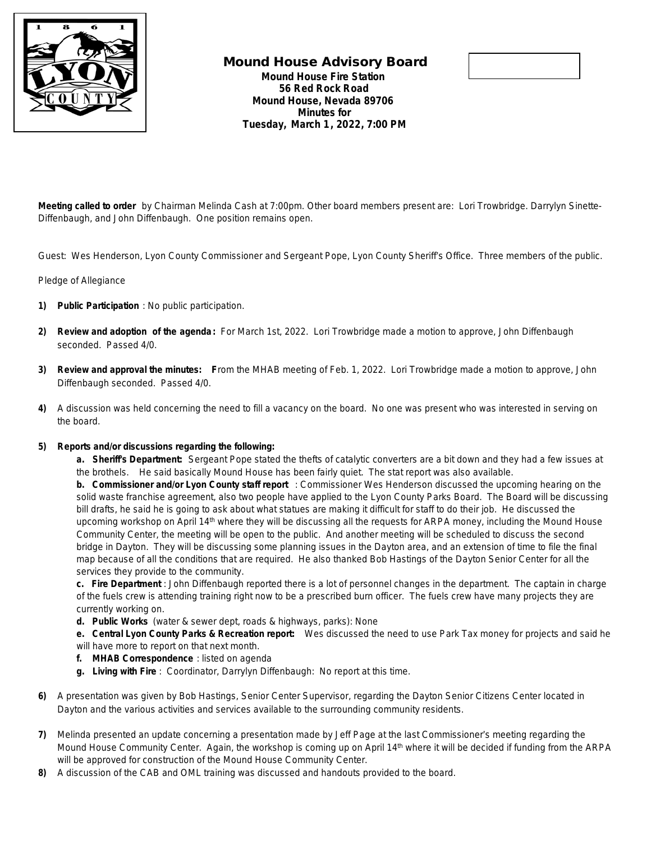

## **Mound House Advisory Board Mound House Fire Station 56 Red Rock Road Mound House, Nevada 89706 Minutes for Tuesday, March 1, 2022, 7:00 PM**



**Meeting called to order** by Chairman Melinda Cash at 7:00pm. Other board members present are: Lori Trowbridge. Darrylyn Sinette-Diffenbaugh, and John Diffenbaugh. One position remains open.

Guest: Wes Henderson, Lyon County Commissioner and Sergeant Pope, Lyon County Sheriff's Office. Three members of the public.

## Pledge of Allegiance

- **1) Public Participation** : No public participation.
- **2) Review and adoption of the agenda:** For March 1st, 2022. Lori Trowbridge made a motion to approve, John Diffenbaugh seconded. Passed 4/0.
- **3) Review and approval the minutes: F**rom the MHAB meeting of Feb. 1, 2022. Lori Trowbridge made a motion to approve, John Diffenbaugh seconded. Passed 4/0.
- **4)** A discussion was held concerning the need to fill a vacancy on the board. No one was present who was interested in serving on the board.

## **5) Reports and/or discussions regarding the following:**

**a. Sheriff's Department:** Sergeant Pope stated the thefts of catalytic converters are a bit down and they had a few issues at the brothels. He said basically Mound House has been fairly quiet. The stat report was also available.

**b. Commissioner and/or Lyon County staff report** : Commissioner Wes Henderson discussed the upcoming hearing on the solid waste franchise agreement, also two people have applied to the Lyon County Parks Board. The Board will be discussing bill drafts, he said he is going to ask about what statues are making it difficult for staff to do their job. He discussed the upcoming workshop on April 14<sup>th</sup> where they will be discussing all the requests for ARPA money, including the Mound House Community Center, the meeting will be open to the public. And another meeting will be scheduled to discuss the second bridge in Dayton. They will be discussing some planning issues in the Dayton area, and an extension of time to file the final map because of all the conditions that are required. He also thanked Bob Hastings of the Dayton Senior Center for all the services they provide to the community.

**c. Fire Department** : John Diffenbaugh reported there is a lot of personnel changes in the department. The captain in charge of the fuels crew is attending training right now to be a prescribed burn officer. The fuels crew have many projects they are currently working on.

**d. Public Works** (water & sewer dept, roads & highways, parks): None

**e. Central Lyon County Parks & Recreation report:** Wes discussed the need to use Park Tax money for projects and said he will have more to report on that next month.

- **f. MHAB Correspondence** : listed on agenda
- **g. Living with Fire** : Coordinator, Darrylyn Diffenbaugh: No report at this time.
- **6)** A presentation was given by Bob Hastings, Senior Center Supervisor, regarding the Dayton Senior Citizens Center located in Dayton and the various activities and services available to the surrounding community residents.
- **7)** Melinda presented an update concerning a presentation made by Jeff Page at the last Commissioner's meeting regarding the Mound House Community Center. Again, the workshop is coming up on April 14<sup>th</sup> where it will be decided if funding from the ARPA will be approved for construction of the Mound House Community Center.
- **8)** A discussion of the CAB and OML training was discussed and handouts provided to the board.